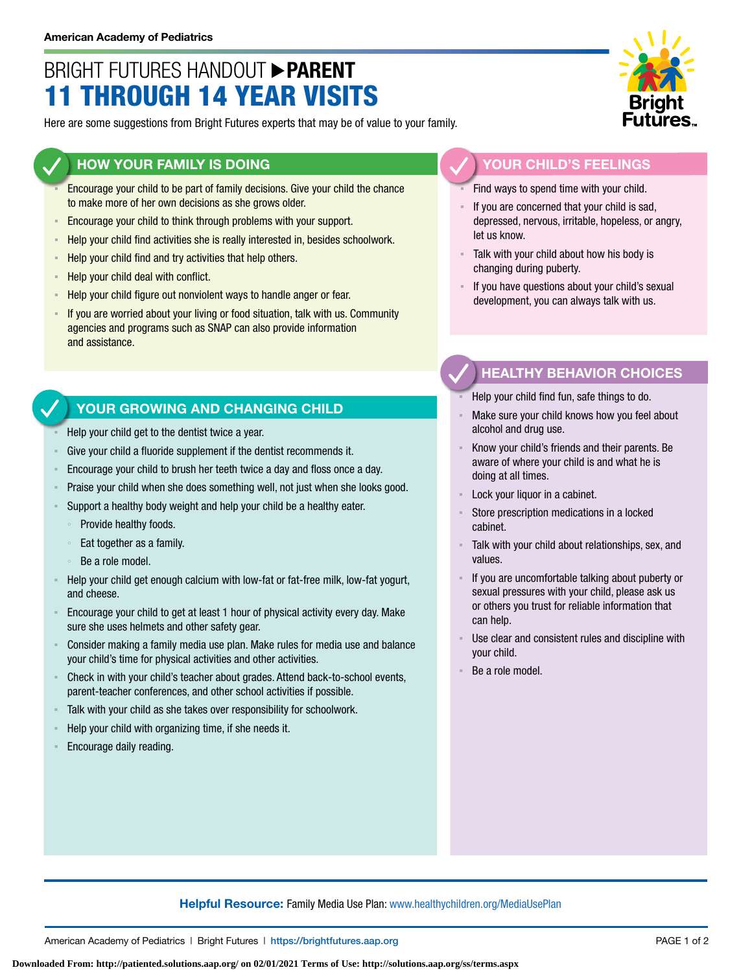## BRIGHT FUTURES HANDOUT **PARENT** 11 THROUGH 14 YEAR VISITS

Here are some suggestions from Bright Futures experts that may be of value to your family.

#### **HOW YOUR FAMILY IS DOING**

- Encourage your child to be part of family decisions. Give your child the chance to make more of her own decisions as she grows older.
- **Encourage your child to think through problems with your support.**
- Help your child find activities she is really interested in, besides schoolwork.
- Help your child find and try activities that help others.
- Help your child deal with conflict.
- Help your child figure out nonviolent ways to handle anger or fear.
- **EXT** If you are worried about your living or food situation, talk with us. Community agencies and programs such as SNAP can also provide information and assistance.

### **YOUR GROWING AND CHANGING CHILD**

- Help your child get to the dentist twice a year.
- Give your child a fluoride supplement if the dentist recommends it.
- Encourage your child to brush her teeth twice a day and floss once a day.
- Praise your child when she does something well, not just when she looks good.
- Support a healthy body weight and help your child be a healthy eater.
	- Provide healthy foods.
	- Eat together as a family.
	- Be a role model.
- Help your child get enough calcium with low-fat or fat-free milk, low-fat yogurt, and cheese.
- Encourage your child to get at least 1 hour of physical activity every day. Make sure she uses helmets and other safety gear.
- Consider making a family media use plan. Make rules for media use and balance your child's time for physical activities and other activities.
- Check in with your child's teacher about grades. Attend back-to-school events, parent-teacher conferences, and other school activities if possible.
- Talk with your child as she takes over responsibility for schoolwork.
- Help your child with organizing time, if she needs it.
- Encourage daily reading.



#### **YOUR CHILD'S FEELINGS**

Find ways to spend time with your child.

- If you are concerned that your child is sad, depressed, nervous, irritable, hopeless, or angry, let us know.
- Talk with your child about how his body is changing during puberty.
- If you have questions about your child's sexual development, you can always talk with us.

### **HEALTHY BEHAVIOR CHOICES**

- Help your child find fun, safe things to do.
- Make sure your child knows how you feel about alcohol and drug use.
- Know your child's friends and their parents. Be aware of where your child is and what he is doing at all times.
- Lock your liquor in a cabinet.
- Store prescription medications in a locked cabinet.
- Talk with your child about relationships, sex, and values.
- If you are uncomfortable talking about puberty or sexual pressures with your child, please ask us or others you trust for reliable information that can help.
- Use clear and consistent rules and discipline with your child.
- Be a role model.

#### **Helpful Resource:** Family Media Use Plan: [www.healthychildren.org/MediaUsePlan](https://www.healthychildren.org/English/media/Pages/default.aspx)

American Academy of Pediatrics | Bright Futures | https://[brightfutures.aap.org](https://brightfutures.aap.org/Pages/default.aspx) PAGE 1 of 2